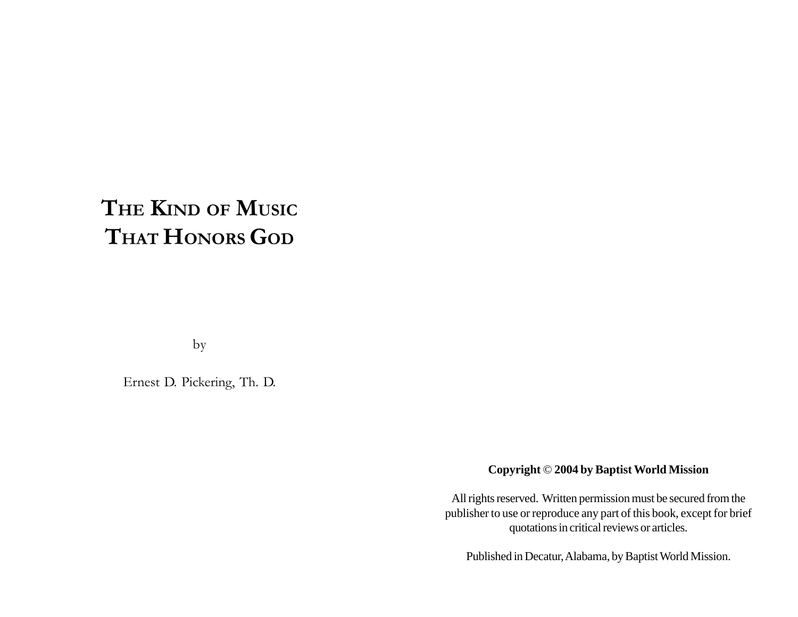# **THE KIND OF MUSIC THAT HONORS GOD**

by

Ernest D. Pickering, Th. D.

# **Copyright** © **2004 by Baptist World Mission**

All rights reserved. Written permission must be secured from the publisher to use or reproduce any part of this book, except for brief quotations in critical reviews or articles.

Published in Decatur, Alabama, by Baptist World Mission.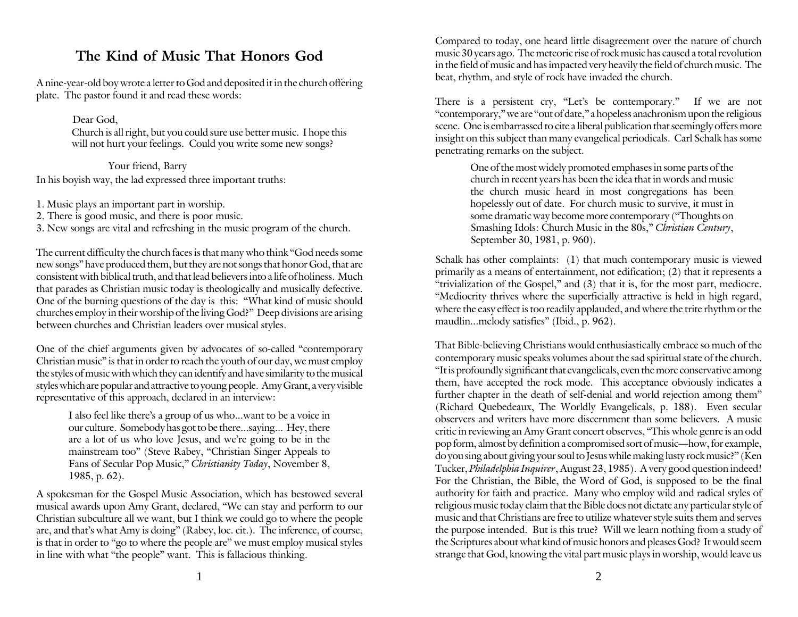# **The Kind of Music That Honors God**

A nine-year-old boy wrote a letter to God and deposited it in the church offering plate. The pastor found it and read these words:

Dear God,

Church is all right, but you could sure use better music. I hope this will not hurt your feelings. Could you write some new songs?

In his boyish way, the lad expressed three important truths: Your friend, Barry

1. Music plays an important part in worship.

2. There is good music, and there is poor music.

3. New songs are vital and refreshing in the music program of the church.

The current difficulty the church faces is that many who think "God needs some new songs" have produced them, but they are not songs that honor God, that are consistent with biblical truth, and that lead believers into a life of holiness. Much that parades as Christian music today is theologically and musically defective. One of the burning questions of the day is this: "What kind of music should churches employ in their worship of the living God?" Deep divisions are arising between churches and Christian leaders over musical styles.

One of the chief arguments given by advocates of so-called "contemporary Christian music" is that in order to reach the youth of our day, we must employ the styles of music with which they can identify and have similarity to the musical styles which are popular and attractive to young people. Amy Grant, a very visible representative of this approach, declared in an interview:

I also feel like there's a group of us who...want to be a voice in our culture. Somebody has got to be there...saying... Hey, there are a lot of us who love Jesus, and we're going to be in the mainstream too" (Steve Rabey, "Christian Singer Appeals to Fans of Secular Pop Music," *Christianity Today*, November 8, 1985, p. 62).

A spokesman for the Gospel Music Association, which has bestowed several musical awards upon Amy Grant, declared, "We can stay and perform to our Christian subculture all we want, but I think we could go to where the people are, and that's what Amy is doing" (Rabey, loc. cit.). The inference, of course, is that in order to "go to where the people are" we must employ musical styles in line with what "the people" want. This is fallacious thinking.

Compared to today, one heard little disagreement over the nature of church music 30 years ago. The meteoric rise of rock music has caused a total revolution in the field of music and has impacted very heavily the field of church music. The beat, rhythm, and style of rock have invaded the church.

There is a persistent cry, "Let's be contemporary." If we are not "contemporary," we are "out of date," a hopeless anachronism upon the religious scene. One is embarrassed to cite a liberal publication that seemingly offers more insight on this subject than many evangelical periodicals. Carl Schalk has some penetrating remarks on the subject.

> One of the most widely promoted emphases in some parts of the church in recent years has been the idea that in words and music the church music heard in most congregations has been hopelessly out of date. For church music to survive, it must in some dramatic way become more contemporary ("Thoughts on Smashing Idols: Church Music in the 80s," *Christian Century*, September 30, 1981, p. 960).

Schalk has other complaints: (1) that much contemporary music is viewed primarily as a means of entertainment, not edification; (2) that it represents a "trivialization of the Gospel," and (3) that it is, for the most part, mediocre. "Mediocrity thrives where the superficially attractive is held in high regard, where the easy effect is too readily applauded, and where the trite rhythm or the maudlin...melody satisfies" (Ibid., p. 962).

That Bible-believing Christians would enthusiastically embrace so much of the contemporary music speaks volumes about the sad spiritual state of the church. "It is profoundly significant that evangelicals, even the more conservative among them, have accepted the rock mode. This acceptance obviously indicates a further chapter in the death of self-denial and world rejection among them" (Richard Quebedeaux, The Worldly Evangelicals, p. 188). Even secular observers and writers have more discernment than some believers. A music critic in reviewing an Amy Grant concert observes, "This whole genre is an odd pop form, almost by definition a compromised sort of music—how, for example, do you sing about giving your soul to Jesus while making lusty rock music?" (Ken Tucker, *Philadelphia Inquirer*, August 23, 1985). A very good question indeed! For the Christian, the Bible, the Word of God, is supposed to be the final authority for faith and practice. Many who employ wild and radical styles of religious music today claim that the Bible does not dictate any particular style of music and that Christians are free to utilize whatever style suits them and serves the purpose intended. But is this true? Will we learn nothing from a study of the Scriptures about what kind of music honors and pleases God? It would seem strange that God, knowing the vital part music plays in worship, would leave us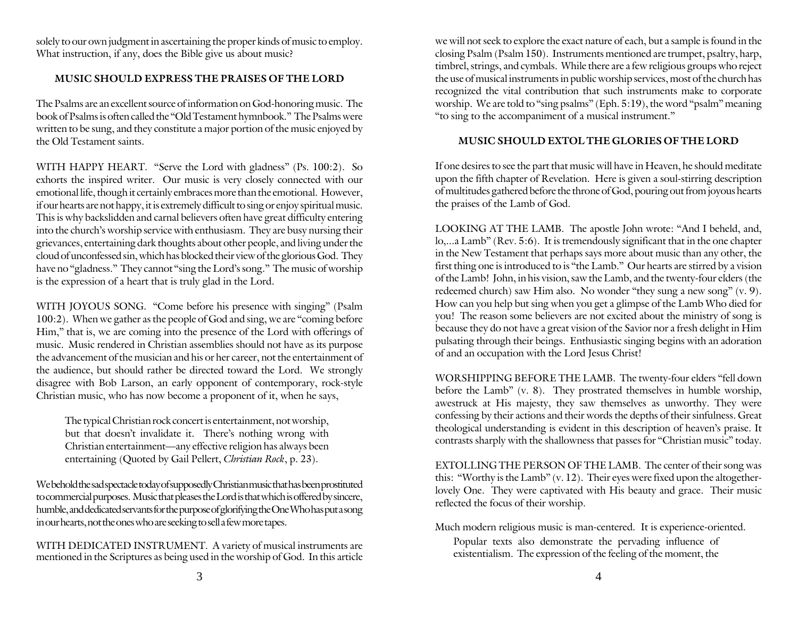solely to our own judgment in ascertaining the proper kinds of music to employ. What instruction, if any, does the Bible give us about music?

## **MUSIC SHOULD EXPRESS THE PRAISES OF THE LORD**

The Psalms are an excellent source of information on God-honoring music. The book of Psalms is often called the "Old Testament hymnbook." The Psalms were written to be sung, and they constitute a major portion of the music enjoyed by the Old Testament saints.

WITH HAPPY HEART. "Serve the Lord with gladness" (Ps. 100:2). So exhorts the inspired writer. Our music is very closely connected with our emotional life, though it certainly embraces more than the emotional. However, if our hearts are not happy, it is extremely difficult to sing or enjoy spiritual music. This is why backslidden and carnal believers often have great difficulty entering into the church's worship service with enthusiasm. They are busy nursing their grievances, entertaining dark thoughts about other people, and living under the cloud of unconfessed sin, which has blocked their view of the glorious God. They have no "gladness." They cannot "sing the Lord's song." The music of worship is the expression of a heart that is truly glad in the Lord.

WITH JOYOUS SONG. "Come before his presence with singing" (Psalm 100:2). When we gather as the people of God and sing, we are "coming before Him," that is, we are coming into the presence of the Lord with offerings of music. Music rendered in Christian assemblies should not have as its purpose the advancement of the musician and his or her career, not the entertainment of the audience, but should rather be directed toward the Lord. We strongly disagree with Bob Larson, an early opponent of contemporary, rock-style Christian music, who has now become a proponent of it, when he says,

The typical Christian rock concert is entertainment, not worship, but that doesn't invalidate it. There's nothing wrong with Christian entertainment—any effective religion has always been entertaining (Quoted by Gail Pellert, *Christian Rock*, p. 23).

We behold the sad spectacle today of supposedly Christian music that has been prostituted to commercial purposes. Music that pleases the Lord is that which is offered by sincere, humble, and dedicated servants for the purpose of glorifying the One Who has put a song in our hearts, not the ones who are seeking to sell a few more tapes.

WITH DEDICATED INSTRUMENT. A variety of musical instruments are mentioned in the Scriptures as being used in the worship of God. In this article

we will not seek to explore the exact nature of each, but a sample is found in the closing Psalm (Psalm 150). Instruments mentioned are trumpet, psaltry, harp, timbrel, strings, and cymbals. While there are a few religious groups who reject the use of musical instruments in public worship services, most of the church has recognized the vital contribution that such instruments make to corporate worship. We are told to "sing psalms" (Eph. 5:19), the word "psalm" meaning "to sing to the accompaniment of a musical instrument."

#### **MUSIC SHOULD EXTOL THE GLORIES OF THE LORD**

If one desires to see the part that music will have in Heaven, he should meditate upon the fifth chapter of Revelation. Here is given a soul-stirring description of multitudes gathered before the throne of God, pouring out from joyous hearts the praises of the Lamb of God.

LOOKING AT THE LAMB. The apostle John wrote: "And I beheld, and, lo,...a Lamb" (Rev. 5:6). It is tremendously significant that in the one chapter in the New Testament that perhaps says more about music than any other, the first thing one is introduced to is "the Lamb." Our hearts are stirred by a vision of the Lamb! John, in his vision, saw the Lamb, and the twenty-four elders (the redeemed church) saw Him also. No wonder "they sung a new song" (v. 9). How can you help but sing when you get a glimpse of the Lamb Who died for you! The reason some believers are not excited about the ministry of song is because they do not have a great vision of the Savior nor a fresh delight in Him pulsating through their beings. Enthusiastic singing begins with an adoration of and an occupation with the Lord Jesus Christ!

WORSHIPPING BEFORE THE LAMB. The twenty-four elders "fell down before the Lamb" (v. 8). They prostrated themselves in humble worship, awestruck at His majesty, they saw themselves as unworthy. They were confessing by their actions and their words the depths of their sinfulness. Great theological understanding is evident in this description of heaven's praise. It contrasts sharply with the shallowness that passes for "Christian music" today.

EXTOLLING THE PERSON OF THE LAMB. The center of their song was this: "Worthy is the Lamb" (v. 12). Their eyes were fixed upon the altogetherlovely One. They were captivated with His beauty and grace. Their music reflected the focus of their worship.

Much modern religious music is man-centered. It is experience-oriented.

Popular texts also demonstrate the pervading influence of existentialism. The expression of the feeling of the moment, the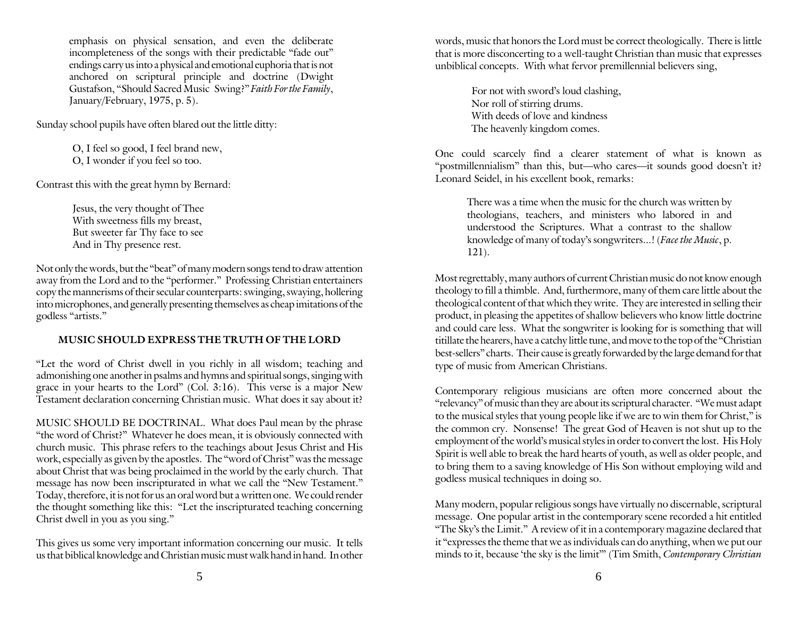emphasis on physical sensation, and even the deliberate incompleteness of the songs with their predictable "fade out" endings carry us into a physical and emotional euphoria that is not anchored on scriptural principle and doctrine (Dwight Gustafson, "Should Sacred Music Swing?" *Faith For the Family*, January/February, 1975, p. 5).

Sunday school pupils have often blared out the little ditty:

O, I feel so good, I feel brand new, O, I wonder if you feel so too.

Contrast this with the great hymn by Bernard:

Jesus, the very thought of Thee With sweetness fills my breast, But sweeter far Thy face to see And in Thy presence rest.

Not only the words, but the "beat" of many modern songs tend to draw attention away from the Lord and to the "performer." Professing Christian entertainers copy the mannerisms of their secular counterparts: swinging, swaying, hollering into microphones, and generally presenting themselves as cheap imitations of the godless "artists."

# **MUSIC SHOULD EXPRESS THE TRUTH OF THE LORD**

"Let the word of Christ dwell in you richly in all wisdom; teaching and admonishing one another in psalms and hymns and spiritual songs, singing with grace in your hearts to the Lord" (Col. 3:16). This verse is a major New Testament declaration concerning Christian music. What does it say about it?

MUSIC SHOULD BE DOCTRINAL. What does Paul mean by the phrase "the word of Christ?" Whatever he does mean, it is obviously connected with church music. This phrase refers to the teachings about Jesus Christ and His work, especially as given by the apostles. The "word of Christ" was the message about Christ that was being proclaimed in the world by the early church. That message has now been inscripturated in what we call the "New Testament." Today, therefore, it is not for us an oral word but a written one. We could render the thought something like this: "Let the inscripturated teaching concerning Christ dwell in you as you sing."

This gives us some very important information concerning our music. It tells us that biblical knowledge and Christian music must walk hand in hand. In other

words, music that honors the Lord must be correct theologically. There is little that is more disconcerting to a well-taught Christian than music that expresses unbiblical concepts. With what fervor premillennial believers sing,

> For not with sword's loud clashing, Nor roll of stirring drums. With deeds of love and kindness The heavenly kingdom comes.

One could scarcely find a clearer statement of what is known as "postmillennialism" than this, but—who cares—it sounds good doesn't it? Leonard Seidel, in his excellent book, remarks:

There was a time when the music for the church was written by theologians, teachers, and ministers who labored in and understood the Scriptures. What a contrast to the shallow knowledge of many of today's songwriters...! (*Face the Music*, p. 121).

Most regrettably, many authors of current Christian music do not know enough theology to fill a thimble. And, furthermore, many of them care little about the theological content of that which they write. They are interested in selling their product, in pleasing the appetites of shallow believers who know little doctrine and could care less. What the songwriter is looking for is something that will titillate the hearers, have a catchy little tune, and move to the top of the "Christian best-sellers" charts. Their cause is greatly forwarded by the large demand for that type of music from American Christians.

Contemporary religious musicians are often more concerned about the "relevancy" of music than they are about its scriptural character. "We must adapt to the musical styles that young people like if we are to win them for Christ," is the common cry. Nonsense! The great God of Heaven is not shut up to the employment of the world's musical styles in order to convert the lost. His Holy Spirit is well able to break the hard hearts of youth, as well as older people, and to bring them to a saving knowledge of His Son without employing wild and godless musical techniques in doing so.

Many modern, popular religious songs have virtually no discernable, scriptural message. One popular artist in the contemporary scene recorded a hit entitled "The Sky's the Limit." A review of it in a contemporary magazine declared that it "expresses the theme that we as individuals can do anything, when we put our minds to it, because 'the sky is the limit'" (Tim Smith, *Contemporary Christian*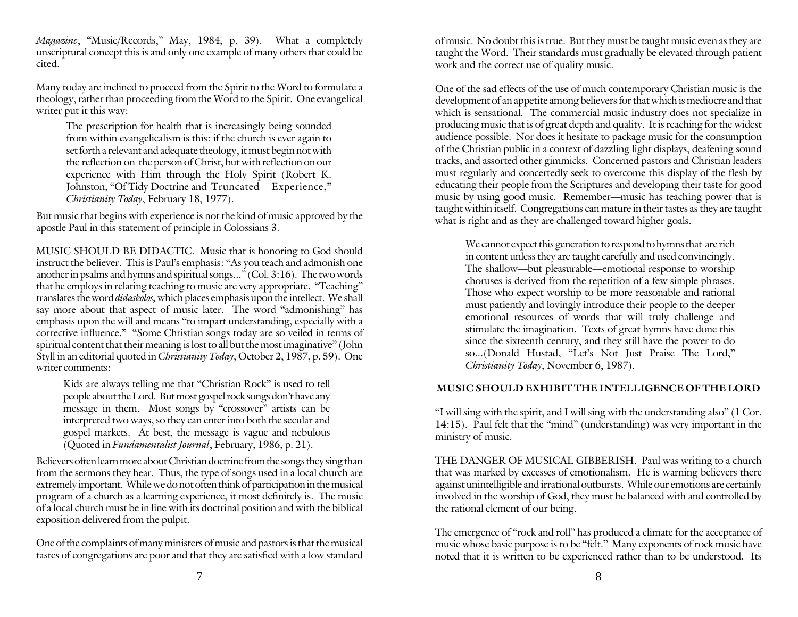*Magazine*, "Music/Records," May, 1984, p. 39). What a completely unscriptural concept this is and only one example of many others that could be cited.

Many today are inclined to proceed from the Spirit to the Word to formulate a theology, rather than proceeding from the Word to the Spirit. One evangelical writer put it this way:

The prescription for health that is increasingly being sounded from within evangelicalism is this: if the church is ever again to set forth a relevant and adequate theology, it must begin not with the reflection on the person of Christ, but with reflection on our experience with Him through the Holy Spirit (Robert K. Johnston, "Of Tidy Doctrine and Truncated Experience," *Christianity Today*, February 18, 1977).

But music that begins with experience is not the kind of music approved by the apostle Paul in this statement of principle in Colossians 3.

MUSIC SHOULD BE DIDACTIC. Music that is honoring to God should instruct the believer. This is Paul's emphasis: "As you teach and admonish one another in psalms and hymns and spiritual songs..." (Col. 3:16). The two words that he employs in relating teaching to music are very appropriate. "Teaching" translates the word *didaskolos,* which places emphasis upon the intellect. We shall say more about that aspect of music later. The word "admonishing" has emphasis upon the will and means "to impart understanding, especially with a corrective influence." "Some Christian songs today are so veiled in terms of spiritual content that their meaning is lost to all but the most imaginative" (John Styll in an editorial quoted in *Christianity Today*, October 2, 1987, p. 59). One writer comments:

Kids are always telling me that "Christian Rock" is used to tell people about the Lord. But most gospel rock songs don't have any message in them. Most songs by "crossover" artists can be interpreted two ways, so they can enter into both the secular and gospel markets. At best, the message is vague and nebulous (Quoted in *Fundamentalist Journal*, February, 1986, p. 21).

Believers often learn more about Christian doctrine from the songs they sing than from the sermons they hear. Thus, the type of songs used in a local church are extremely important. While we do not often think of participation in the musical program of a church as a learning experience, it most definitely is. The music of a local church must be in line with its doctrinal position and with the biblical exposition delivered from the pulpit.

One of the complaints of many ministers of music and pastors is that the musical tastes of congregations are poor and that they are satisfied with a low standard of music. No doubt this is true. But they must be taught music even as they are taught the Word. Their standards must gradually be elevated through patient work and the correct use of quality music.

One of the sad effects of the use of much contemporary Christian music is the development of an appetite among believers for that which is mediocre and that which is sensational. The commercial music industry does not specialize in producing music that is of great depth and quality. It is reaching for the widest audience possible. Nor does it hesitate to package music for the consumption of the Christian public in a context of dazzling light displays, deafening sound tracks, and assorted other gimmicks. Concerned pastors and Christian leaders must regularly and concertedly seek to overcome this display of the flesh by educating their people from the Scriptures and developing their taste for good music by using good music. Remember—music has teaching power that is taught within itself. Congregations can mature in their tastes as they are taught what is right and as they are challenged toward higher goals.

We cannot expect this generation to respond to hymns that are rich in content unless they are taught carefully and used convincingly. The shallow—but pleasurable—emotional response to worship choruses is derived from the repetition of a few simple phrases. Those who expect worship to be more reasonable and rational must patiently and lovingly introduce their people to the deeper emotional resources of words that will truly challenge and stimulate the imagination. Texts of great hymns have done this since the sixteenth century, and they still have the power to do so...(Donald Hustad, "Let's Not Just Praise The Lord," *Christianity Today*, November 6, 1987).

### **MUSIC SHOULD EXHIBIT THE INTELLIGENCE OF THE LORD**

"I will sing with the spirit, and I will sing with the understanding also" (1 Cor. 14:15). Paul felt that the "mind" (understanding) was very important in the ministry of music.

THE DANGER OF MUSICAL GIBBERISH. Paul was writing to a church that was marked by excesses of emotionalism. He is warning believers there against unintelligible and irrational outbursts. While our emotions are certainly involved in the worship of God, they must be balanced with and controlled by the rational element of our being.

The emergence of "rock and roll" has produced a climate for the acceptance of music whose basic purpose is to be "felt." Many exponents of rock music have noted that it is written to be experienced rather than to be understood. Its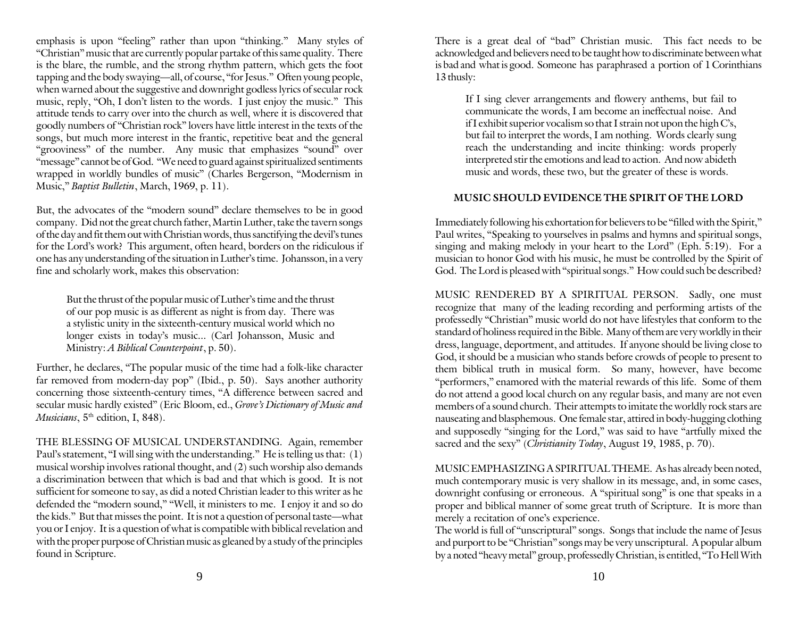emphasis is upon "feeling" rather than upon "thinking." Many styles of "Christian" music that are currently popular partake of this same quality. There is the blare, the rumble, and the strong rhythm pattern, which gets the foot tapping and the body swaying—all, of course, "for Jesus." Often young people, when warned about the suggestive and downright godless lyrics of secular rock music, reply, "Oh, I don't listen to the words. I just enjoy the music." This attitude tends to carry over into the church as well, where it is discovered that goodly numbers of "Christian rock" lovers have little interest in the texts of the songs, but much more interest in the frantic, repetitive beat and the general "grooviness" of the number. Any music that emphasizes "sound" over "message" cannot be of God. "We need to guard against spiritualized sentiments wrapped in worldly bundles of music" (Charles Bergerson, "Modernism in Music," *Baptist Bulletin*, March, 1969, p. 11).

But, the advocates of the "modern sound" declare themselves to be in good company. Did not the great church father, Martin Luther, take the tavern songs of the day and fit them out with Christian words, thus sanctifying the devil's tunes for the Lord's work? This argument, often heard, borders on the ridiculous if one has any understanding of the situation in Luther's time. Johansson, in a very fine and scholarly work, makes this observation:

But the thrust of the popular music of Luther's time and the thrust of our pop music is as different as night is from day. There was a stylistic unity in the sixteenth-century musical world which no longer exists in today's music... (Carl Johansson, Music and Ministry: *A Biblical Counterpoint*, p. 50).

Further, he declares, "The popular music of the time had a folk-like character far removed from modern-day pop" (Ibid., p. 50). Says another authority concerning those sixteenth-century times, "A difference between sacred and secular music hardly existed" (Eric Bloom, ed., *Grove's Dictionary of Music and Musicians*,  $5<sup>th</sup>$  edition, I, 848).

THE BLESSING OF MUSICAL UNDERSTANDING. Again, remember Paul's statement, "I will sing with the understanding." He is telling us that: (1) musical worship involves rational thought, and (2) such worship also demands a discrimination between that which is bad and that which is good. It is not sufficient for someone to say, as did a noted Christian leader to this writer as he defended the "modern sound," "Well, it ministers to me. I enjoy it and so do the kids." But that misses the point. It is not a question of personal taste—what you or I enjoy. It is a question of what is compatible with biblical revelation and with the proper purpose of Christian music as gleaned by a study of the principles found in Scripture.

There is a great deal of "bad" Christian music. This fact needs to be acknowledged and believers need to be taught how to discriminate between what is bad and what is good. Someone has paraphrased a portion of 1 Corinthians 13 thusly:

If I sing clever arrangements and flowery anthems, but fail to communicate the words, I am become an ineffectual noise. And if I exhibit superior vocalism so that I strain not upon the high  $Cs$ , but fail to interpret the words, I am nothing. Words clearly sung reach the understanding and incite thinking: words properly interpreted stir the emotions and lead to action. And now abideth music and words, these two, but the greater of these is words.

#### **MUSIC SHOULD EVIDENCE THE SPIRIT OF THE LORD**

Immediately following his exhortation for believers to be "filled with the Spirit," Paul writes, "Speaking to yourselves in psalms and hymns and spiritual songs, singing and making melody in your heart to the Lord" (Eph. 5:19). For a musician to honor God with his music, he must be controlled by the Spirit of God. The Lord is pleased with "spiritual songs." How could such be described?

MUSIC RENDERED BY A SPIRITUAL PERSON. Sadly, one must recognize that many of the leading recording and performing artists of the professedly "Christian" music world do not have lifestyles that conform to the standard of holiness required in the Bible. Many of them are very worldly in their dress, language, deportment, and attitudes. If anyone should be living close to God, it should be a musician who stands before crowds of people to present to them biblical truth in musical form. So many, however, have become "performers," enamored with the material rewards of this life. Some of them do not attend a good local church on any regular basis, and many are not even members of a sound church. Their attempts to imitate the worldly rock stars are nauseating and blasphemous. One female star, attired in body-hugging clothing and supposedly "singing for the Lord," was said to have "artfully mixed the sacred and the sexy" (*Christianity Today*, August 19, 1985, p. 70).

MUSIC EMPHASIZING A SPIRITUAL THEME. As has already been noted, much contemporary music is very shallow in its message, and, in some cases, downright confusing or erroneous. A "spiritual song" is one that speaks in a proper and biblical manner of some great truth of Scripture. It is more than merely a recitation of one's experience.

The world is full of "unscriptural" songs. Songs that include the name of Jesus and purport to be "Christian" songs may be very unscriptural. A popular album by a noted "heavy metal" group, professedly Christian, is entitled, "To Hell With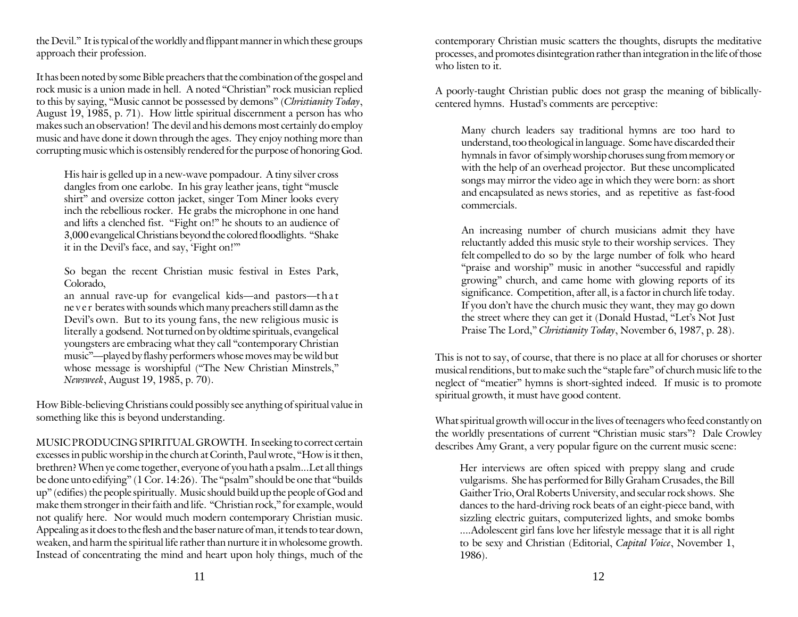the Devil." It is typical of the worldly and flippant manner in which these groups approach their profession.

It has been noted by some Bible preachers that the combination of the gospel and rock music is a union made in hell. A noted "Christian" rock musician replied to this by saying, "Music cannot be possessed by demons" (*Christianity Today*, August 19, 1985, p. 71). How little spiritual discernment a person has who makes such an observation! The devil and his demons most certainly do employ music and have done it down through the ages. They enjoy nothing more than corrupting music which is ostensibly rendered for the purpose of honoring God.

His hair is gelled up in a new-wave pompadour. A tiny silver cross dangles from one earlobe. In his gray leather jeans, tight "muscle shirt" and oversize cotton jacket, singer Tom Miner looks every inch the rebellious rocker. He grabs the microphone in one hand and lifts a clenched fist. "Fight on!" he shouts to an audience of 3,000 evangelical Christians beyond the colored floodlights. "Shake it in the Devil's face, and say, 'Fight on!'"

So began the recent Christian music festival in Estes Park, Colorado,

an annual rave-up for evangelical kids—and pastors—that ne <sup>v</sup> <sup>e</sup> <sup>r</sup> berates with sounds which many preachers still damn as the Devil's own. But to its young fans, the new religious music is literally a godsend. Not turned on by oldtime spirituals, evangelical youngsters are embracing what they call "contemporary Christian music"—played by flashy performers whose moves may be wild but whose message is worshipful ("The New Christian Minstrels," *Newsweek*, August 19, 1985, p. 70).

How Bible-believing Christians could possibly see anything of spiritual value in something like this is beyond understanding.

MUSIC PRODUCING SPIRITUAL GROWTH. In seeking to correct certain excesses in public worship in the church at Corinth, Paul wrote, "How is it then, brethren? When ye come together, everyone of you hath a psalm...Let all things be done unto edifying" (1 Cor. 14:26). The "psalm" should be one that "builds up" (edifies) the people spiritually. Music should build up the people of God and make them stronger in their faith and life. "Christian rock," for example, would not qualify here. Nor would much modern contemporary Christian music. Appealing as it does to the flesh and the baser nature of man, it tends to tear down, weaken, and harm the spiritual life rather than nurture it in wholesome growth. Instead of concentrating the mind and heart upon holy things, much of the

contemporary Christian music scatters the thoughts, disrupts the meditative processes, and promotes disintegration rather than integration in the life of those who listen to it.

A poorly-taught Christian public does not grasp the meaning of biblicallycentered hymns. Hustad's comments are perceptive:

Many church leaders say traditional hymns are too hard to understand, too theological in language. Some have discarded their hymnals in favor of simply worship choruses sung from memory or with the help of an overhead projector. But these uncomplicated songs may mirror the video age in which they were born: as short and encapsulated as news stories, and as repetitive as fast-food commercials.

An increasing number of church musicians admit they have reluctantly added this music style to their worship services. They felt compelled to do so by the large number of folk who heard "praise and worship" music in another "successful and rapidly growing" church, and came home with glowing reports of its significance. Competition, after all, is a factor in church life today. If you don't have the church music they want, they may go down the street where they can get it (Donald Hustad, "Let's Not Just Praise The Lord," *Christianity Today*, November 6, 1987, p. 28).

This is not to say, of course, that there is no place at all for choruses or shorter musical renditions, but to make such the "staple fare" of church music life to the neglect of "meatier" hymns is short-sighted indeed. If music is to promote spiritual growth, it must have good content.

What spiritual growth will occur in the lives of teenagers who feed constantly on the worldly presentations of current "Christian music stars"? Dale Crowley describes Amy Grant, a very popular figure on the current music scene:

Her interviews are often spiced with preppy slang and crude vulgarisms. She has performed for Billy Graham Crusades, the Bill Gaither Trio, Oral Roberts University, and secular rock shows. She dances to the hard-driving rock beats of an eight-piece band, with sizzling electric guitars, computerized lights, and smoke bombs ....Adolescent girl fans love her lifestyle message that it is all right to be sexy and Christian (Editorial, *Capital Voice*, November 1, 1986).